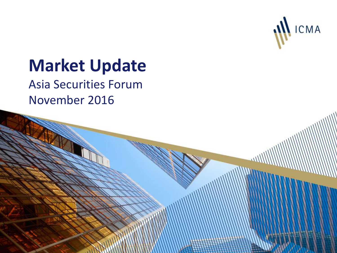

# **Market Update**

Asia Securities Forum November 2016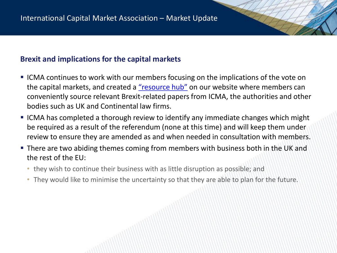## **Brexit and implications for the capital markets**

- ICMA continues to work with our members focusing on the implications of the vote on the capital markets, and created a ["resource hub"](http://www.icmagroup.org/Regulatory-Policy-and-Market-Practice/brexit-implications-for-icma-members-of-the-uk-vote-to-leave-the-eu/) on our website where members can conveniently source relevant Brexit-related papers from ICMA, the authorities and other bodies such as UK and Continental law firms.
- ICMA has completed a thorough review to identify any immediate changes which might be required as a result of the referendum (none at this time) and will keep them under review to ensure they are amended as and when needed in consultation with members.
- **There are two abiding themes coming from members with business both in the UK and** the rest of the EU:
	- they wish to continue their business with as little disruption as possible; and
	- They would like to minimise the uncertainty so that they are able to plan for the future.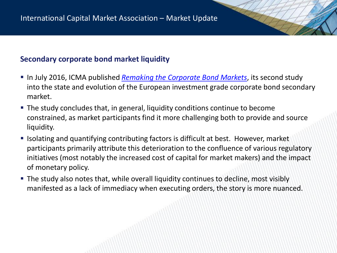## **Secondary corporate bond market liquidity**

- In July 2016, ICMA published *[Remaking the Corporate Bond Markets](https://www.google.co.uk/url?sa=t&rct=j&q=&esrc=s&source=web&cd=2&cad=rja&uact=8&ved=0ahUKEwjj3ce5kLfPAhVlBcAKHTkTAsYQFggqMAE&url=http://www.icmagroup.org/assets/documents/Regulatory/Secondary-markets/Remaking-the-Corporate-Bond-Market-250716.pdf&usg=AFQjCNFVJVL8f6sCmvK3J2lSVo2V1kawag&bvm=bv.134495766,d.d24)*, its second study into the state and evolution of the European investment grade corporate bond secondary market.
- The study concludes that, in general, liquidity conditions continue to become constrained, as market participants find it more challenging both to provide and source liquidity.
- Isolating and quantifying contributing factors is difficult at best. However, market participants primarily attribute this deterioration to the confluence of various regulatory initiatives (most notably the increased cost of capital for market makers) and the impact of monetary policy.
- The study also notes that, while overall liquidity continues to decline, most visibly manifested as a lack of immediacy when executing orders, the story is more nuanced.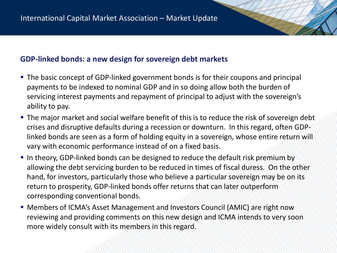## **GDP-linked bonds: a new design for sovereign debt markets**

- The basic concept of GDP-linked government bonds is for their coupons and principal payments to be indexed to nominal GDP and in so doing allow both the burden of servicing interest payments and repayment of principal to adjust with the sovereign's ability to pay.
- **The major market and social welfare benefit of this is to reduce the risk of sovereign debt** crises and disruptive defaults during a recession or downturn. In this regard, often GDPlinked bonds are seen as a form of holding equity in a sovereign, whose entire return will vary with economic performance instead of on a fixed basis.
- In theory, GDP-linked bonds can be designed to reduce the default risk premium by allowing the debt servicing burden to be reduced in times of fiscal duress. On the other hand, for investors, particularly those who believe a particular sovereign may be on its return to prosperity, GDP-linked bonds offer returns that can later outperform corresponding conventional bonds.
- Members of ICMA's Asset Management and Investors Council (AMIC) are right now reviewing and providing comments on this new design and ICMA intends to very soon more widely consult with its members in this regard.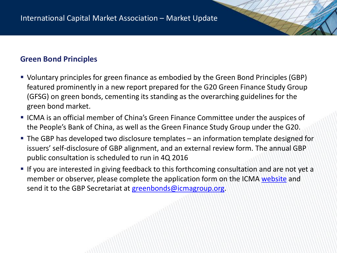## **Green Bond Principles**

- Voluntary principles for green finance as embodied by the Green Bond Principles (GBP) featured prominently in a new report prepared for the G20 Green Finance Study Group (GFSG) on green bonds, cementing its standing as the overarching guidelines for the green bond market.
- ICMA is an official member of China's Green Finance Committee under the auspices of the People's Bank of China, as well as the Green Finance Study Group under the G20.
- The GBP has developed two disclosure templates an information template designed for issuers' self-disclosure of GBP alignment, and an external review form. The annual GBP public consultation is scheduled to run in 4Q 2016
- If you are interested in giving feedback to this forthcoming consultation and are not yet a member or observer, please complete the application form on the ICMA [website](mailto:website) and send it to the GBP Secretariat at [greenbonds@icmagroup.org.](mailto:greenbonds@icmagroup.org)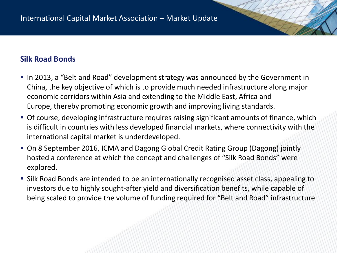# **Silk Road Bonds**

- In 2013, a "Belt and Road" development strategy was announced by the Government in China, the key objective of which is to provide much needed infrastructure along major economic corridors within Asia and extending to the Middle East, Africa and Europe, thereby promoting economic growth and improving living standards.
- Of course, developing infrastructure requires raising significant amounts of finance, which is difficult in countries with less developed financial markets, where connectivity with the international capital market is underdeveloped.
- On 8 September 2016, ICMA and Dagong Global Credit Rating Group (Dagong) jointly hosted a conference at which the concept and challenges of "Silk Road Bonds" were explored.
- Silk Road Bonds are intended to be an internationally recognised asset class, appealing to investors due to highly sought-after yield and diversification benefits, while capable of being scaled to provide the volume of funding required for "Belt and Road" infrastructure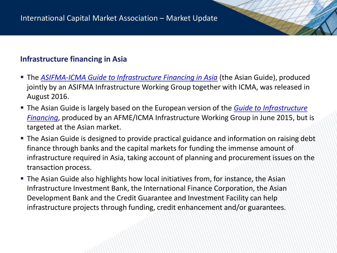# **Infrastructure financing in Asia**

- The *[ASIFMA-ICMA Guide to Infrastructure Financing in Asia](http://www.icmagroup.org/News/news-in-brief/asifma-and-icma-release-guide-to-infrastructure-financing-in-asia/)* (the Asian Guide), produced jointly by an ASIFMA Infrastructure Working Group together with ICMA, was released in August 2016.
- The Asian Guide is largely based on the European version of the *Guide to Infrastructure Financing*[, produced by an AFME/ICMA Infrastructure Working Group in June 2015, but](http://www.icmagroup.org/Regulatory-Policy-and-Market-Practice/Primary-Markets/infrastructure-financing/) is targeted at the Asian market.
- **The Asian Guide is designed to provide practical guidance and information on raising debt** finance through banks and the capital markets for funding the immense amount of infrastructure required in Asia, taking account of planning and procurement issues on the transaction process.
- The Asian Guide also highlights how local initiatives from, for instance, the Asian Infrastructure Investment Bank, the International Finance Corporation, the Asian Development Bank and the Credit Guarantee and Investment Facility can help infrastructure projects through funding, credit enhancement and/or guarantees.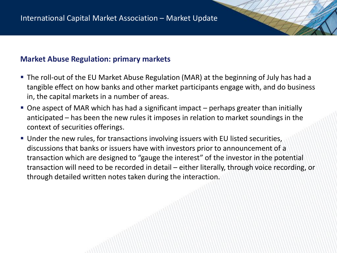## **Market Abuse Regulation: primary markets**

- The roll-out of the EU Market Abuse Regulation (MAR) at the beginning of July has had a tangible effect on how banks and other market participants engage with, and do business in, the capital markets in a number of areas.
- One aspect of MAR which has had a significant impact perhaps greater than initially anticipated – has been the new rules it imposes in relation to market soundings in the context of securities offerings.
- Under the new rules, for transactions involving issuers with EU listed securities, discussions that banks or issuers have with investors prior to announcement of a transaction which are designed to "gauge the interest" of the investor in the potential transaction will need to be recorded in detail – either literally, through voice recording, or through detailed written notes taken during the interaction.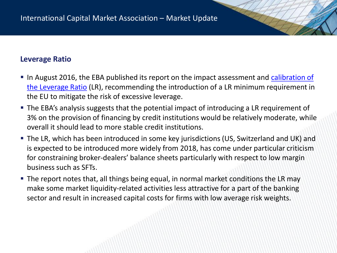## **Leverage Ratio**

- [In August 2016, the EBA published its report on the impact assessment and calibration of](http://www.eba.europa.eu/-/eba-recommends-introducing-the-leverage-ratio-in-the-eu) the Leverage Ratio (LR), recommending the introduction of a LR minimum requirement in the EU to mitigate the risk of excessive leverage.
- The EBA's analysis suggests that the potential impact of introducing a LR requirement of 3% on the provision of financing by credit institutions would be relatively moderate, while overall it should lead to more stable credit institutions.
- The LR, which has been introduced in some key jurisdictions (US, Switzerland and UK) and is expected to be introduced more widely from 2018, has come under particular criticism for constraining broker-dealers' balance sheets particularly with respect to low margin business such as SFTs.
- The report notes that, all things being equal, in normal market conditions the LR may make some market liquidity-related activities less attractive for a part of the banking sector and result in increased capital costs for firms with low average risk weights.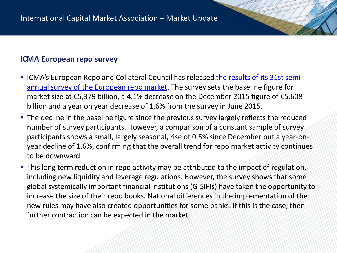## **ICMA European repo survey**

- **ICMA's European Repo and Collateral Council has released the results of its 31st semi**annual survey of the European repo market. The survey sets the baseline figure for market size at €5,379 billion, a 4.1% decrease on the December 2015 figure of €5,608 billion and a year on year decrease of 1.6% from the survey in June 2015.
- **The decline in the baseline figure since the previous survey largely reflects the reduced** number of survey participants. However, a comparison of a constant sample of survey participants shows a small, largely seasonal, rise of 0.5% since December but a year-onyear decline of 1.6%, confirming that the overall trend for repo market activity continues to be downward.
- **This long term reduction in repo activity may be attributed to the impact of regulation,** including new liquidity and leverage regulations. However, the survey shows that some global systemically important financial institutions (G-SIFIs) have taken the opportunity to increase the size of their repo books. National differences in the implementation of the new rules may have also created opportunities for some banks. If this is the case, then further contraction can be expected in the market.